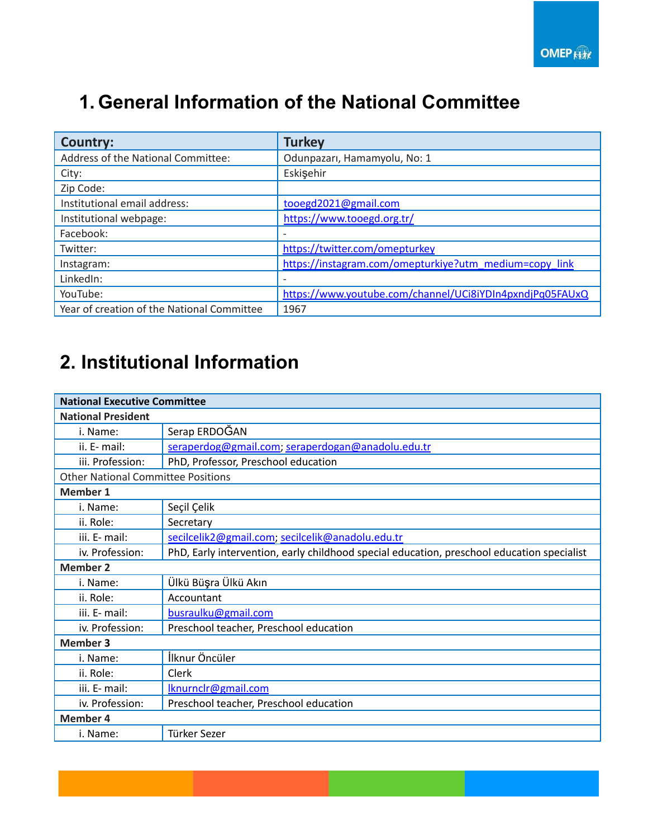### **1. General Information of the National Committee**

| <b>Country:</b>                            | <b>Turkey</b>                                            |
|--------------------------------------------|----------------------------------------------------------|
| Address of the National Committee:         | Odunpazarı, Hamamyolu, No: 1                             |
| City:                                      | Eskişehir                                                |
| Zip Code:                                  |                                                          |
| Institutional email address:               | tooegd2021@gmail.com                                     |
| Institutional webpage:                     | https://www.tooegd.org.tr/                               |
| Facebook:                                  |                                                          |
| Twitter:                                   | https://twitter.com/omepturkey                           |
| Instagram:                                 | https://instagram.com/omepturkiye?utm_medium=copy_link   |
| LinkedIn:                                  |                                                          |
| YouTube:                                   | https://www.youtube.com/channel/UCi8iYDIn4pxndjPq05FAUxQ |
| Year of creation of the National Committee | 1967                                                     |

## **2. Institutional Information**

| <b>National Executive Committee</b>       |                                                                                            |  |  |
|-------------------------------------------|--------------------------------------------------------------------------------------------|--|--|
| <b>National President</b>                 |                                                                                            |  |  |
| i. Name:                                  | Serap ERDOĞAN                                                                              |  |  |
| ii. E- mail:                              | seraperdog@gmail.com; seraperdogan@anadolu.edu.tr                                          |  |  |
| iii. Profession:                          | PhD, Professor, Preschool education                                                        |  |  |
| <b>Other National Committee Positions</b> |                                                                                            |  |  |
| <b>Member 1</b>                           |                                                                                            |  |  |
| i. Name:                                  | Seçil Çelik                                                                                |  |  |
| ii. Role:                                 | Secretary                                                                                  |  |  |
| iii. E- mail:                             | secilcelik2@gmail.com; secilcelik@anadolu.edu.tr                                           |  |  |
| iv. Profession:                           | PhD, Early intervention, early childhood special education, preschool education specialist |  |  |
| <b>Member 2</b>                           |                                                                                            |  |  |
| i. Name:                                  | Ülkü Büşra Ülkü Akın                                                                       |  |  |
| ii. Role:                                 | Accountant                                                                                 |  |  |
| iii. E- mail:                             | busraulku@gmail.com                                                                        |  |  |
| iv. Profession:                           | Preschool teacher, Preschool education                                                     |  |  |
| <b>Member 3</b>                           |                                                                                            |  |  |
| i. Name:                                  | İlknur Öncüler                                                                             |  |  |
| ii. Role:                                 | Clerk                                                                                      |  |  |
| iii. E- mail:                             | Iknurnclr@gmail.com                                                                        |  |  |
| iv. Profession:                           | Preschool teacher, Preschool education                                                     |  |  |
| <b>Member 4</b>                           |                                                                                            |  |  |
| i. Name:                                  | Türker Sezer                                                                               |  |  |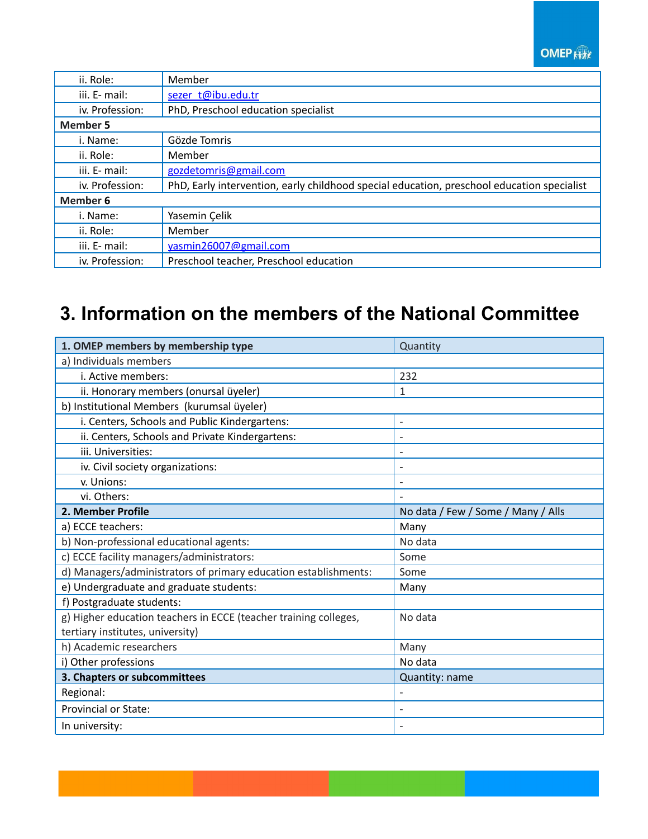#### **OMEP Kitt**

| ii. Role:       | Member                                                                                     |  |
|-----------------|--------------------------------------------------------------------------------------------|--|
| iii. E- mail:   | sezer t@ibu.edu.tr                                                                         |  |
| iv. Profession: | PhD, Preschool education specialist                                                        |  |
| <b>Member 5</b> |                                                                                            |  |
| i. Name:        | Gözde Tomris                                                                               |  |
| ii. Role:       | Member                                                                                     |  |
| iii. E- mail:   | gozdetomris@gmail.com                                                                      |  |
| iv. Profession: | PhD, Early intervention, early childhood special education, preschool education specialist |  |
| <b>Member 6</b> |                                                                                            |  |
| i. Name:        | Yasemin Çelik                                                                              |  |
| ii. Role:       | Member                                                                                     |  |
| iii. E- mail:   | yasmin26007@gmail.com                                                                      |  |
| iv. Profession: | Preschool teacher, Preschool education                                                     |  |

### **3. Information on the members of the National Committee**

| 1. OMEP members by membership type                               | Quantity                           |  |  |
|------------------------------------------------------------------|------------------------------------|--|--|
| a) Individuals members                                           |                                    |  |  |
| i. Active members:                                               | 232                                |  |  |
| ii. Honorary members (onursal üyeler)                            | 1                                  |  |  |
| b) Institutional Members (kurumsal üyeler)                       |                                    |  |  |
| i. Centers, Schools and Public Kindergartens:                    | $\overline{a}$                     |  |  |
| ii. Centers, Schools and Private Kindergartens:                  | $\overline{\phantom{a}}$           |  |  |
| iii. Universities:                                               |                                    |  |  |
| iv. Civil society organizations:                                 | $\overline{\phantom{0}}$           |  |  |
| v. Unions:                                                       |                                    |  |  |
| vi. Others:                                                      |                                    |  |  |
| 2. Member Profile                                                | No data / Few / Some / Many / Alls |  |  |
| a) ECCE teachers:                                                | Many                               |  |  |
| b) Non-professional educational agents:                          | No data                            |  |  |
| c) ECCE facility managers/administrators:                        | Some                               |  |  |
| d) Managers/administrators of primary education establishments:  | Some                               |  |  |
| e) Undergraduate and graduate students:                          | Many                               |  |  |
| f) Postgraduate students:                                        |                                    |  |  |
| g) Higher education teachers in ECCE (teacher training colleges, | No data                            |  |  |
| tertiary institutes, university)                                 |                                    |  |  |
| h) Academic researchers                                          | Many                               |  |  |
| i) Other professions                                             | No data                            |  |  |
| 3. Chapters or subcommittees                                     | Quantity: name                     |  |  |
| Regional:                                                        |                                    |  |  |
| <b>Provincial or State:</b>                                      |                                    |  |  |
| In university:                                                   |                                    |  |  |